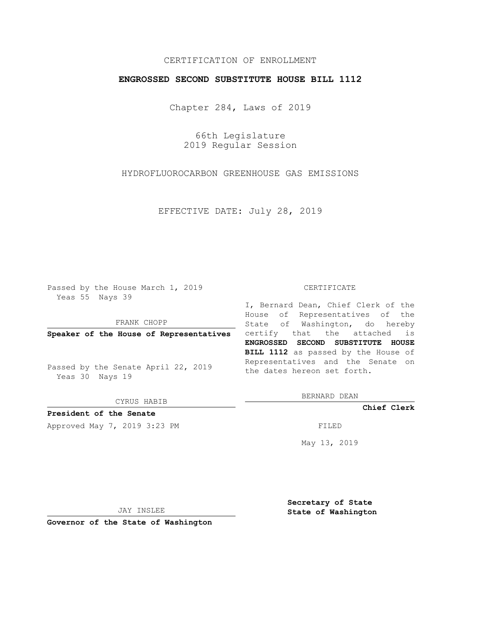# CERTIFICATION OF ENROLLMENT

### **ENGROSSED SECOND SUBSTITUTE HOUSE BILL 1112**

Chapter 284, Laws of 2019

66th Legislature 2019 Regular Session

HYDROFLUOROCARBON GREENHOUSE GAS EMISSIONS

EFFECTIVE DATE: July 28, 2019

Passed by the House March 1, 2019 Yeas 55 Nays 39

FRANK CHOPP

Passed by the Senate April 22, 2019 Yeas 30 Nays 19

CYRUS HABIB

**President of the Senate**

Approved May 7, 2019 3:23 PM

#### CERTIFICATE

**Speaker of the House of Representatives** certify that the attached is I, Bernard Dean, Chief Clerk of the House of Representatives of the State of Washington, do hereby **ENGROSSED SECOND SUBSTITUTE HOUSE BILL 1112** as passed by the House of Representatives and the Senate on the dates hereon set forth.

BERNARD DEAN

**Chief Clerk**

May 13, 2019

JAY INSLEE

**Governor of the State of Washington**

**Secretary of State State of Washington**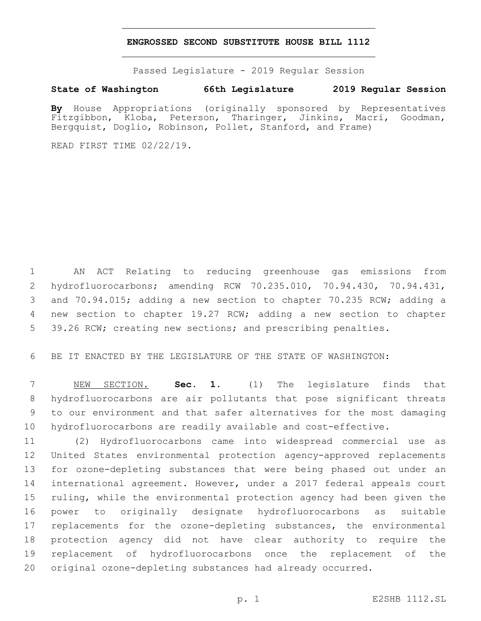### **ENGROSSED SECOND SUBSTITUTE HOUSE BILL 1112**

Passed Legislature - 2019 Regular Session

# **State of Washington 66th Legislature 2019 Regular Session**

**By** House Appropriations (originally sponsored by Representatives Fitzgibbon, Kloba, Peterson, Tharinger, Jinkins, Macri, Goodman, Bergquist, Doglio, Robinson, Pollet, Stanford, and Frame)

READ FIRST TIME 02/22/19.

 AN ACT Relating to reducing greenhouse gas emissions from hydrofluorocarbons; amending RCW 70.235.010, 70.94.430, 70.94.431, and 70.94.015; adding a new section to chapter 70.235 RCW; adding a new section to chapter 19.27 RCW; adding a new section to chapter 5 39.26 RCW; creating new sections; and prescribing penalties.

BE IT ENACTED BY THE LEGISLATURE OF THE STATE OF WASHINGTON:

 NEW SECTION. **Sec. 1.** (1) The legislature finds that hydrofluorocarbons are air pollutants that pose significant threats to our environment and that safer alternatives for the most damaging hydrofluorocarbons are readily available and cost-effective.

 (2) Hydrofluorocarbons came into widespread commercial use as United States environmental protection agency-approved replacements for ozone-depleting substances that were being phased out under an international agreement. However, under a 2017 federal appeals court ruling, while the environmental protection agency had been given the power to originally designate hydrofluorocarbons as suitable 17 replacements for the ozone-depleting substances, the environmental protection agency did not have clear authority to require the replacement of hydrofluorocarbons once the replacement of the original ozone-depleting substances had already occurred.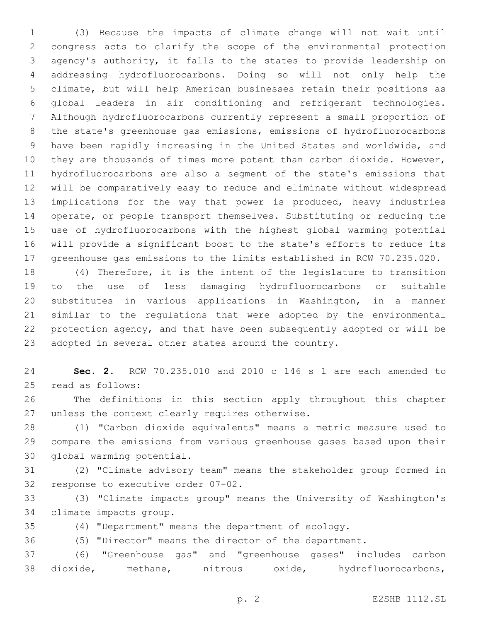(3) Because the impacts of climate change will not wait until congress acts to clarify the scope of the environmental protection agency's authority, it falls to the states to provide leadership on addressing hydrofluorocarbons. Doing so will not only help the climate, but will help American businesses retain their positions as global leaders in air conditioning and refrigerant technologies. Although hydrofluorocarbons currently represent a small proportion of the state's greenhouse gas emissions, emissions of hydrofluorocarbons have been rapidly increasing in the United States and worldwide, and 10 they are thousands of times more potent than carbon dioxide. However, hydrofluorocarbons are also a segment of the state's emissions that will be comparatively easy to reduce and eliminate without widespread implications for the way that power is produced, heavy industries operate, or people transport themselves. Substituting or reducing the use of hydrofluorocarbons with the highest global warming potential will provide a significant boost to the state's efforts to reduce its greenhouse gas emissions to the limits established in RCW 70.235.020.

 (4) Therefore, it is the intent of the legislature to transition to the use of less damaging hydrofluorocarbons or suitable substitutes in various applications in Washington, in a manner similar to the regulations that were adopted by the environmental protection agency, and that have been subsequently adopted or will be adopted in several other states around the country.

 **Sec. 2.** RCW 70.235.010 and 2010 c 146 s 1 are each amended to 25 read as follows:

 The definitions in this section apply throughout this chapter 27 unless the context clearly requires otherwise.

 (1) "Carbon dioxide equivalents" means a metric measure used to compare the emissions from various greenhouse gases based upon their 30 global warming potential.

 (2) "Climate advisory team" means the stakeholder group formed in 32 response to executive order 07-02.

 (3) "Climate impacts group" means the University of Washington's 34 climate impacts group.

(4) "Department" means the department of ecology.

(5) "Director" means the director of the department.

 (6) "Greenhouse gas" and "greenhouse gases" includes carbon dioxide, methane, nitrous oxide, hydrofluorocarbons,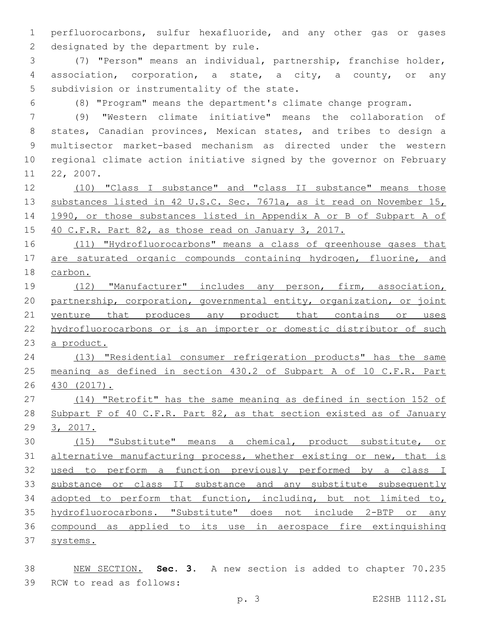perfluorocarbons, sulfur hexafluoride, and any other gas or gases 2 designated by the department by rule.

 (7) "Person" means an individual, partnership, franchise holder, association, corporation, a state, a city, a county, or any 5 subdivision or instrumentality of the state.

(8) "Program" means the department's climate change program.

 (9) "Western climate initiative" means the collaboration of states, Canadian provinces, Mexican states, and tribes to design a multisector market-based mechanism as directed under the western regional climate action initiative signed by the governor on February 11 22, 2007.

 (10) "Class I substance" and "class II substance" means those 13 substances listed in 42 U.S.C. Sec. 7671a, as it read on November 15, 1990, or those substances listed in Appendix A or B of Subpart A of 15 40 C.F.R. Part 82, as those read on January 3, 2017.

 (11) "Hydrofluorocarbons" means a class of greenhouse gases that 17 are saturated organic compounds containing hydrogen, fluorine, and carbon.

 (12) "Manufacturer" includes any person, firm, association, partnership, corporation, governmental entity, organization, or joint 21 venture that produces any product that contains or uses hydrofluorocarbons or is an importer or domestic distributor of such a product.

 (13) "Residential consumer refrigeration products" has the same meaning as defined in section 430.2 of Subpart A of 10 C.F.R. Part 430 (2017).

 (14) "Retrofit" has the same meaning as defined in section 152 of 28 Subpart F of 40 C.F.R. Part 82, as that section existed as of January 3, 2017.

 (15) "Substitute" means a chemical, product substitute, or alternative manufacturing process, whether existing or new, that is used to perform a function previously performed by a class I 33 substance or class II substance and any substitute subsequently adopted to perform that function, including, but not limited to, hydrofluorocarbons. "Substitute" does not include 2-BTP or any compound as applied to its use in aerospace fire extinguishing 37 systems.

 NEW SECTION. **Sec. 3.** A new section is added to chapter 70.235 39 RCW to read as follows: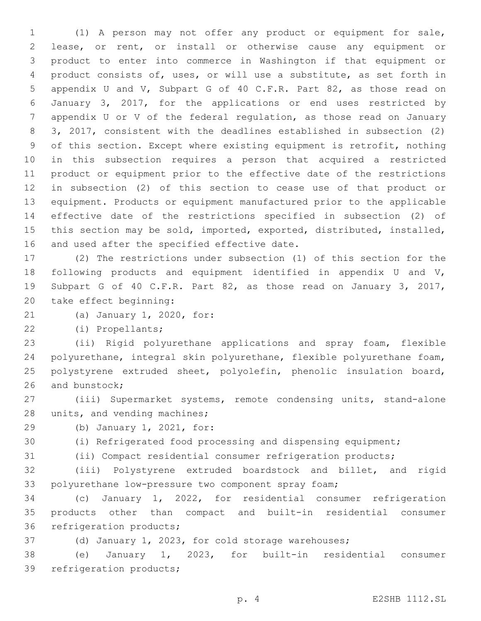(1) A person may not offer any product or equipment for sale, lease, or rent, or install or otherwise cause any equipment or product to enter into commerce in Washington if that equipment or product consists of, uses, or will use a substitute, as set forth in appendix U and V, Subpart G of 40 C.F.R. Part 82, as those read on January 3, 2017, for the applications or end uses restricted by appendix U or V of the federal regulation, as those read on January 3, 2017, consistent with the deadlines established in subsection (2) of this section. Except where existing equipment is retrofit, nothing in this subsection requires a person that acquired a restricted product or equipment prior to the effective date of the restrictions in subsection (2) of this section to cease use of that product or equipment. Products or equipment manufactured prior to the applicable effective date of the restrictions specified in subsection (2) of this section may be sold, imported, exported, distributed, installed, 16 and used after the specified effective date.

 (2) The restrictions under subsection (1) of this section for the following products and equipment identified in appendix U and V, Subpart G of 40 C.F.R. Part 82, as those read on January 3, 2017, 20 take effect beginning:

21 (a) January 1, 2020, for:

(i) Propellants;22

 (ii) Rigid polyurethane applications and spray foam, flexible polyurethane, integral skin polyurethane, flexible polyurethane foam, polystyrene extruded sheet, polyolefin, phenolic insulation board, 26 and bunstock;

 (iii) Supermarket systems, remote condensing units, stand-alone 28 units, and vending machines;

29 (b) January 1, 2021, for:

(i) Refrigerated food processing and dispensing equipment;

(ii) Compact residential consumer refrigeration products;

 (iii) Polystyrene extruded boardstock and billet, and rigid polyurethane low-pressure two component spray foam;

 (c) January 1, 2022, for residential consumer refrigeration products other than compact and built-in residential consumer 36 refrigeration products;

(d) January 1, 2023, for cold storage warehouses;

 (e) January 1, 2023, for built-in residential consumer 39 refrigeration products;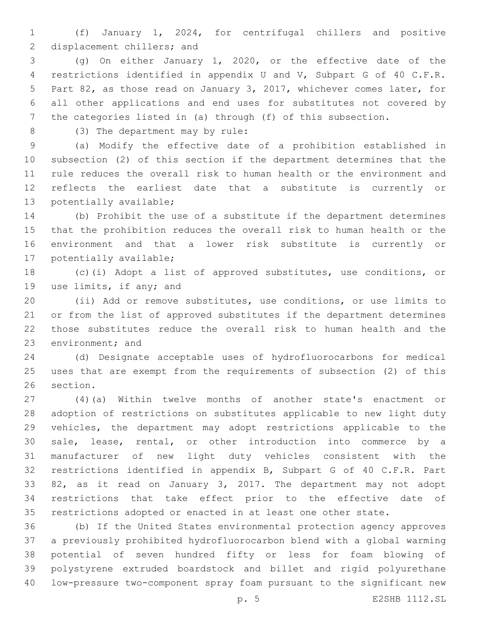(f) January 1, 2024, for centrifugal chillers and positive 2 displacement chillers; and

 (g) On either January 1, 2020, or the effective date of the restrictions identified in appendix U and V, Subpart G of 40 C.F.R. Part 82, as those read on January 3, 2017, whichever comes later, for all other applications and end uses for substitutes not covered by the categories listed in (a) through (f) of this subsection.

8 (3) The department may by rule:

 (a) Modify the effective date of a prohibition established in subsection (2) of this section if the department determines that the rule reduces the overall risk to human health or the environment and reflects the earliest date that a substitute is currently or 13 potentially available;

 (b) Prohibit the use of a substitute if the department determines that the prohibition reduces the overall risk to human health or the environment and that a lower risk substitute is currently or 17 potentially available;

 (c)(i) Adopt a list of approved substitutes, use conditions, or 19 use limits, if any; and

 (ii) Add or remove substitutes, use conditions, or use limits to or from the list of approved substitutes if the department determines those substitutes reduce the overall risk to human health and the 23 environment; and

 (d) Designate acceptable uses of hydrofluorocarbons for medical uses that are exempt from the requirements of subsection (2) of this 26 section.

 (4)(a) Within twelve months of another state's enactment or adoption of restrictions on substitutes applicable to new light duty vehicles, the department may adopt restrictions applicable to the sale, lease, rental, or other introduction into commerce by a manufacturer of new light duty vehicles consistent with the restrictions identified in appendix B, Subpart G of 40 C.F.R. Part 82, as it read on January 3, 2017. The department may not adopt restrictions that take effect prior to the effective date of restrictions adopted or enacted in at least one other state.

 (b) If the United States environmental protection agency approves a previously prohibited hydrofluorocarbon blend with a global warming potential of seven hundred fifty or less for foam blowing of polystyrene extruded boardstock and billet and rigid polyurethane low-pressure two-component spray foam pursuant to the significant new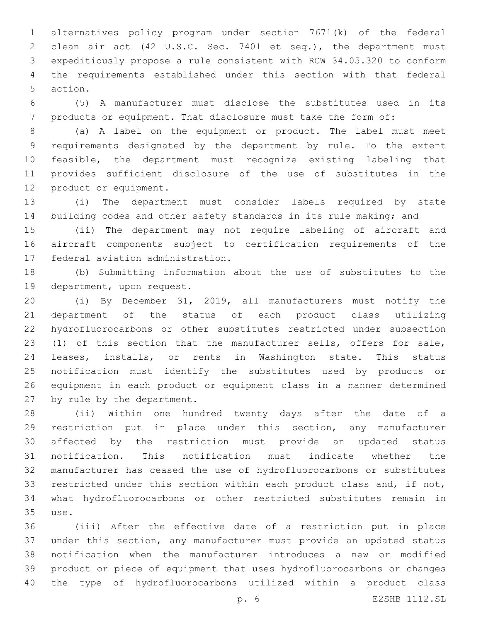alternatives policy program under section 7671(k) of the federal clean air act (42 U.S.C. Sec. 7401 et seq.), the department must expeditiously propose a rule consistent with RCW 34.05.320 to conform the requirements established under this section with that federal 5 action.

 (5) A manufacturer must disclose the substitutes used in its products or equipment. That disclosure must take the form of:

 (a) A label on the equipment or product. The label must meet requirements designated by the department by rule. To the extent feasible, the department must recognize existing labeling that provides sufficient disclosure of the use of substitutes in the 12 product or equipment.

 (i) The department must consider labels required by state 14 building codes and other safety standards in its rule making; and

 (ii) The department may not require labeling of aircraft and aircraft components subject to certification requirements of the 17 federal aviation administration.

 (b) Submitting information about the use of substitutes to the 19 department, upon request.

 (i) By December 31, 2019, all manufacturers must notify the department of the status of each product class utilizing hydrofluorocarbons or other substitutes restricted under subsection (1) of this section that the manufacturer sells, offers for sale, leases, installs, or rents in Washington state. This status notification must identify the substitutes used by products or equipment in each product or equipment class in a manner determined 27 by rule by the department.

 (ii) Within one hundred twenty days after the date of a restriction put in place under this section, any manufacturer affected by the restriction must provide an updated status notification. This notification must indicate whether the manufacturer has ceased the use of hydrofluorocarbons or substitutes restricted under this section within each product class and, if not, what hydrofluorocarbons or other restricted substitutes remain in use.35

 (iii) After the effective date of a restriction put in place under this section, any manufacturer must provide an updated status notification when the manufacturer introduces a new or modified product or piece of equipment that uses hydrofluorocarbons or changes the type of hydrofluorocarbons utilized within a product class

p. 6 E2SHB 1112.SL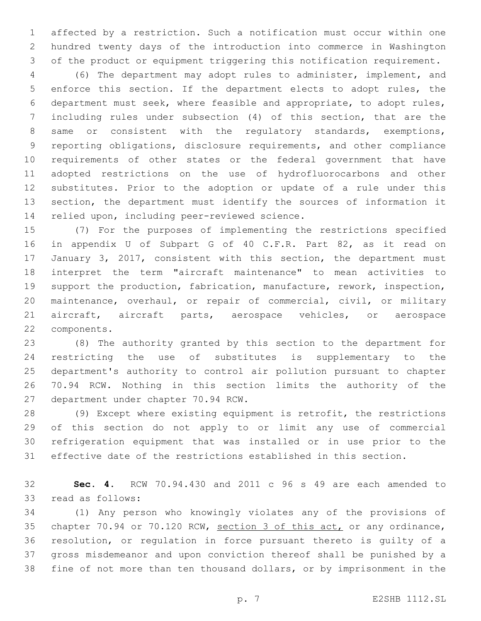affected by a restriction. Such a notification must occur within one hundred twenty days of the introduction into commerce in Washington of the product or equipment triggering this notification requirement.

 (6) The department may adopt rules to administer, implement, and enforce this section. If the department elects to adopt rules, the department must seek, where feasible and appropriate, to adopt rules, including rules under subsection (4) of this section, that are the same or consistent with the regulatory standards, exemptions, reporting obligations, disclosure requirements, and other compliance requirements of other states or the federal government that have adopted restrictions on the use of hydrofluorocarbons and other substitutes. Prior to the adoption or update of a rule under this section, the department must identify the sources of information it 14 relied upon, including peer-reviewed science.

 (7) For the purposes of implementing the restrictions specified in appendix U of Subpart G of 40 C.F.R. Part 82, as it read on January 3, 2017, consistent with this section, the department must interpret the term "aircraft maintenance" to mean activities to support the production, fabrication, manufacture, rework, inspection, maintenance, overhaul, or repair of commercial, civil, or military aircraft, aircraft parts, aerospace vehicles, or aerospace 22 components.

 (8) The authority granted by this section to the department for restricting the use of substitutes is supplementary to the department's authority to control air pollution pursuant to chapter 70.94 RCW. Nothing in this section limits the authority of the 27 department under chapter 70.94 RCW.

 (9) Except where existing equipment is retrofit, the restrictions of this section do not apply to or limit any use of commercial refrigeration equipment that was installed or in use prior to the effective date of the restrictions established in this section.

 **Sec. 4.** RCW 70.94.430 and 2011 c 96 s 49 are each amended to 33 read as follows:

 (1) Any person who knowingly violates any of the provisions of chapter 70.94 or 70.120 RCW, section 3 of this act, or any ordinance, resolution, or regulation in force pursuant thereto is guilty of a gross misdemeanor and upon conviction thereof shall be punished by a fine of not more than ten thousand dollars, or by imprisonment in the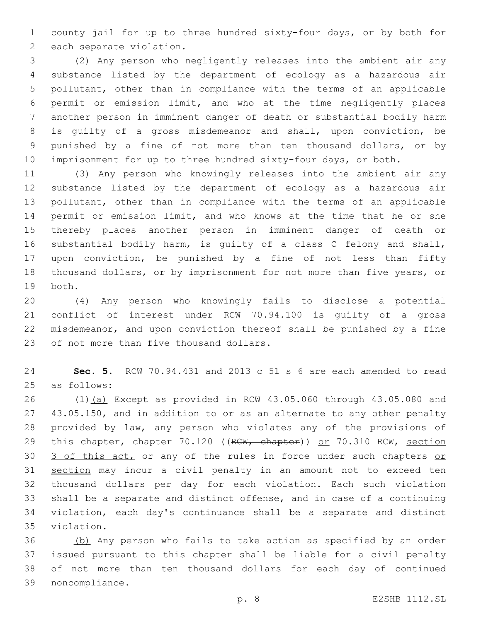county jail for up to three hundred sixty-four days, or by both for 2 each separate violation.

 (2) Any person who negligently releases into the ambient air any substance listed by the department of ecology as a hazardous air pollutant, other than in compliance with the terms of an applicable permit or emission limit, and who at the time negligently places another person in imminent danger of death or substantial bodily harm is guilty of a gross misdemeanor and shall, upon conviction, be punished by a fine of not more than ten thousand dollars, or by imprisonment for up to three hundred sixty-four days, or both.

 (3) Any person who knowingly releases into the ambient air any substance listed by the department of ecology as a hazardous air pollutant, other than in compliance with the terms of an applicable permit or emission limit, and who knows at the time that he or she thereby places another person in imminent danger of death or substantial bodily harm, is guilty of a class C felony and shall, upon conviction, be punished by a fine of not less than fifty thousand dollars, or by imprisonment for not more than five years, or 19 both.

 (4) Any person who knowingly fails to disclose a potential conflict of interest under RCW 70.94.100 is guilty of a gross misdemeanor, and upon conviction thereof shall be punished by a fine 23 of not more than five thousand dollars.

 **Sec. 5.** RCW 70.94.431 and 2013 c 51 s 6 are each amended to read 25 as follows:

 (1)(a) Except as provided in RCW 43.05.060 through 43.05.080 and 43.05.150, and in addition to or as an alternate to any other penalty provided by law, any person who violates any of the provisions of 29 this chapter, chapter 70.120 ((RCW, chapter)) or 70.310 RCW, section 30 3 of this act, or any of the rules in force under such chapters or 31 section may incur a civil penalty in an amount not to exceed ten thousand dollars per day for each violation. Each such violation shall be a separate and distinct offense, and in case of a continuing violation, each day's continuance shall be a separate and distinct 35 violation.

 (b) Any person who fails to take action as specified by an order issued pursuant to this chapter shall be liable for a civil penalty of not more than ten thousand dollars for each day of continued noncompliance.39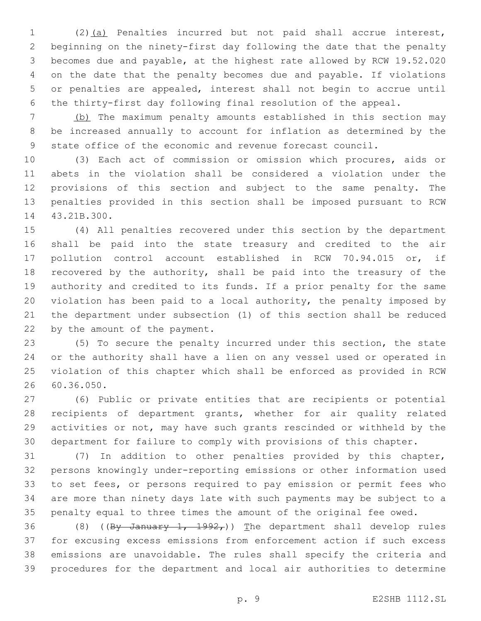(2)(a) Penalties incurred but not paid shall accrue interest, beginning on the ninety-first day following the date that the penalty becomes due and payable, at the highest rate allowed by RCW 19.52.020 on the date that the penalty becomes due and payable. If violations or penalties are appealed, interest shall not begin to accrue until the thirty-first day following final resolution of the appeal.

 (b) The maximum penalty amounts established in this section may be increased annually to account for inflation as determined by the state office of the economic and revenue forecast council.

 (3) Each act of commission or omission which procures, aids or abets in the violation shall be considered a violation under the provisions of this section and subject to the same penalty. The penalties provided in this section shall be imposed pursuant to RCW 14 43.21B.300.

 (4) All penalties recovered under this section by the department shall be paid into the state treasury and credited to the air pollution control account established in RCW 70.94.015 or, if recovered by the authority, shall be paid into the treasury of the authority and credited to its funds. If a prior penalty for the same violation has been paid to a local authority, the penalty imposed by the department under subsection (1) of this section shall be reduced 22 by the amount of the payment.

 (5) To secure the penalty incurred under this section, the state or the authority shall have a lien on any vessel used or operated in violation of this chapter which shall be enforced as provided in RCW 60.36.050.26

 (6) Public or private entities that are recipients or potential recipients of department grants, whether for air quality related activities or not, may have such grants rescinded or withheld by the department for failure to comply with provisions of this chapter.

 (7) In addition to other penalties provided by this chapter, persons knowingly under-reporting emissions or other information used to set fees, or persons required to pay emission or permit fees who are more than ninety days late with such payments may be subject to a penalty equal to three times the amount of the original fee owed.

36 (8) ( $(\frac{By - January + 1}{1}, \frac{1992}{1})$  The department shall develop rules for excusing excess emissions from enforcement action if such excess emissions are unavoidable. The rules shall specify the criteria and procedures for the department and local air authorities to determine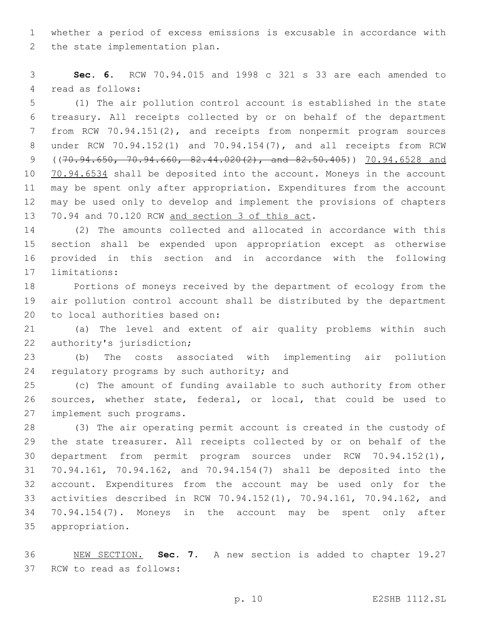whether a period of excess emissions is excusable in accordance with 2 the state implementation plan.

 **Sec. 6.** RCW 70.94.015 and 1998 c 321 s 33 are each amended to 4 read as follows:

 (1) The air pollution control account is established in the state treasury. All receipts collected by or on behalf of the department from RCW 70.94.151(2), and receipts from nonpermit program sources under RCW 70.94.152(1) and 70.94.154(7), and all receipts from RCW ((70.94.650, 70.94.660, 82.44.020(2), and 82.50.405)) 70.94.6528 and 10 70.94.6534 shall be deposited into the account. Moneys in the account may be spent only after appropriation. Expenditures from the account may be used only to develop and implement the provisions of chapters 13 70.94 and 70.120 RCW and section 3 of this act.

 (2) The amounts collected and allocated in accordance with this section shall be expended upon appropriation except as otherwise provided in this section and in accordance with the following 17 limitations:

 Portions of moneys received by the department of ecology from the air pollution control account shall be distributed by the department 20 to local authorities based on:

 (a) The level and extent of air quality problems within such 22 authority's jurisdiction;

 (b) The costs associated with implementing air pollution 24 regulatory programs by such authority; and

 (c) The amount of funding available to such authority from other sources, whether state, federal, or local, that could be used to 27 implement such programs.

 (3) The air operating permit account is created in the custody of the state treasurer. All receipts collected by or on behalf of the department from permit program sources under RCW 70.94.152(1), 70.94.161, 70.94.162, and 70.94.154(7) shall be deposited into the account. Expenditures from the account may be used only for the activities described in RCW 70.94.152(1), 70.94.161, 70.94.162, and 70.94.154(7). Moneys in the account may be spent only after appropriation.35

 NEW SECTION. **Sec. 7.** A new section is added to chapter 19.27 37 RCW to read as follows: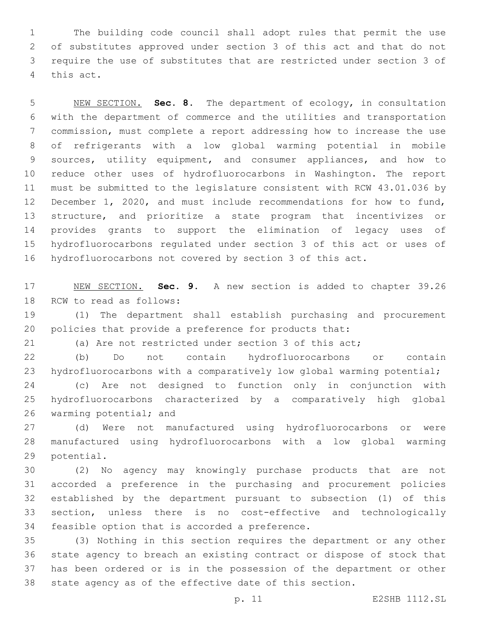The building code council shall adopt rules that permit the use of substitutes approved under section 3 of this act and that do not require the use of substitutes that are restricted under section 3 of 4 this act.

 NEW SECTION. **Sec. 8.** The department of ecology, in consultation with the department of commerce and the utilities and transportation commission, must complete a report addressing how to increase the use of refrigerants with a low global warming potential in mobile sources, utility equipment, and consumer appliances, and how to reduce other uses of hydrofluorocarbons in Washington. The report must be submitted to the legislature consistent with RCW 43.01.036 by December 1, 2020, and must include recommendations for how to fund, structure, and prioritize a state program that incentivizes or provides grants to support the elimination of legacy uses of hydrofluorocarbons regulated under section 3 of this act or uses of hydrofluorocarbons not covered by section 3 of this act.

 NEW SECTION. **Sec. 9.** A new section is added to chapter 39.26 18 RCW to read as follows:

 (1) The department shall establish purchasing and procurement policies that provide a preference for products that:

(a) Are not restricted under section 3 of this act;

 (b) Do not contain hydrofluorocarbons or contain 23 hydrofluorocarbons with a comparatively low global warming potential;

 (c) Are not designed to function only in conjunction with hydrofluorocarbons characterized by a comparatively high global 26 warming potential; and

 (d) Were not manufactured using hydrofluorocarbons or were manufactured using hydrofluorocarbons with a low global warming 29 potential.

 (2) No agency may knowingly purchase products that are not accorded a preference in the purchasing and procurement policies established by the department pursuant to subsection (1) of this section, unless there is no cost-effective and technologically 34 feasible option that is accorded a preference.

 (3) Nothing in this section requires the department or any other state agency to breach an existing contract or dispose of stock that has been ordered or is in the possession of the department or other state agency as of the effective date of this section.